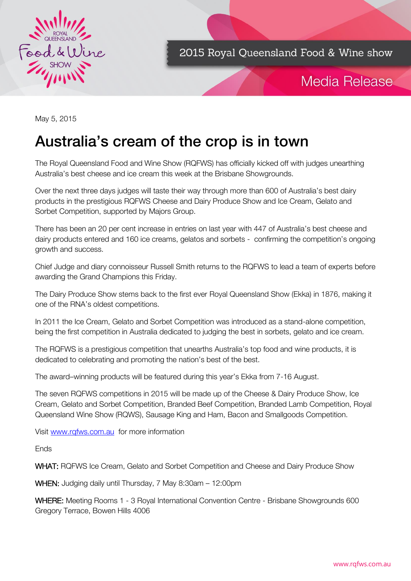

2015 Royal Queensland Food & Wine show

## Media Release

May 5, 2015

# Australia's cream of the crop is in town

The Royal Queensland Food and Wine Show (RQFWS) has officially kicked off with judges unearthing Australia's best cheese and ice cream this week at the Brisbane Showgrounds.

Over the next three days judges will taste their way through more than 600 of Australia's best dairy products in the prestigious RQFWS Cheese and Dairy Produce Show and Ice Cream, Gelato and Sorbet Competition, supported by Majors Group.

There has been an 20 per cent increase in entries on last year with 447 of Australia's best cheese and dairy products entered and 160 ice creams, gelatos and sorbets - confirming the competition's ongoing growth and success.

Chief Judge and diary connoisseur Russell Smith returns to the RQFWS to lead a team of experts before awarding the Grand Champions this Friday.

The Dairy Produce Show stems back to the first ever Royal Queensland Show (Ekka) in 1876, making it one of the RNA's oldest competitions.

In 2011 the Ice Cream, Gelato and Sorbet Competition was introduced as a stand-alone competition, being the first competition in Australia dedicated to judging the best in sorbets, gelato and ice cream.

The RQFWS is a prestigious competition that unearths Australia's top food and wine products, it is dedicated to celebrating and promoting the nation's best of the best.

The award–winning products will be featured during this year's Ekka from 7-16 August.

The seven RQFWS competitions in 2015 will be made up of the Cheese & Dairy Produce Show, Ice Cream, Gelato and Sorbet Competition, Branded Beef Competition, Branded Lamb Competition, Royal Queensland Wine Show (RQWS), Sausage King and Ham, Bacon and Smallgoods Competition.

Visit [www.rqfws.com.au](http://www.rqfws.com.au/) for more information

Ends

WHAT: RQFWS Ice Cream, Gelato and Sorbet Competition and Cheese and Dairy Produce Show

WHEN: Judging daily until Thursday, 7 May 8:30am – 12:00pm

WHERE: Meeting Rooms 1 - 3 Royal International Convention Centre - Brisbane Showgrounds 600 Gregory Terrace, Bowen Hills 4006